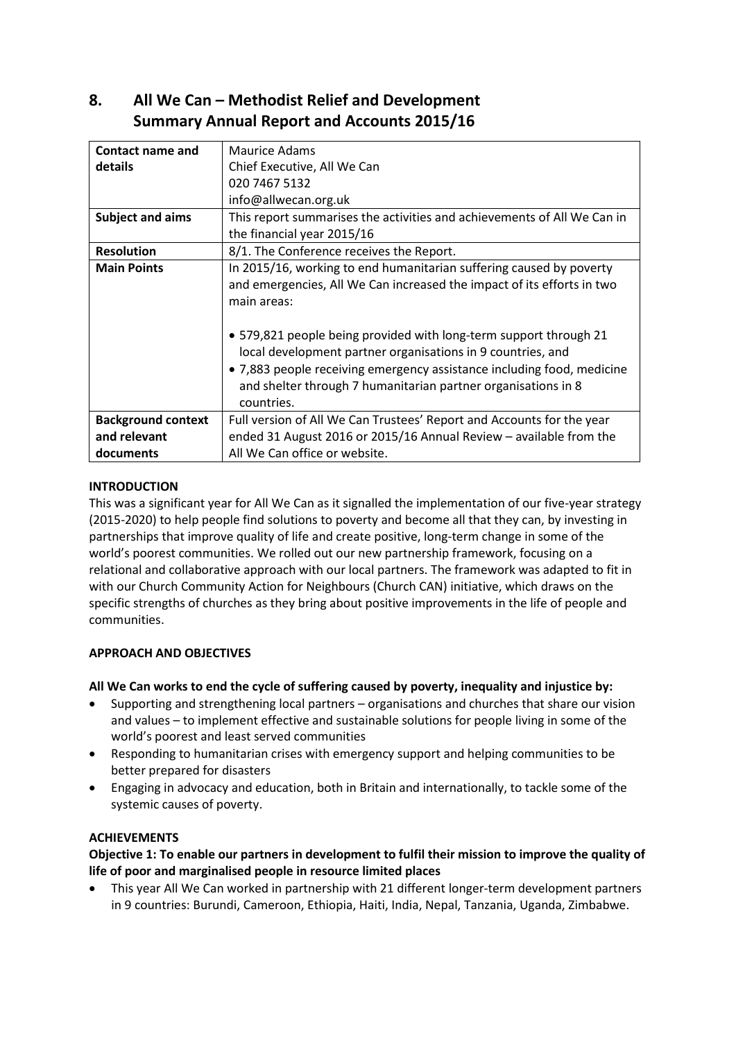# **8. All We Can – Methodist Relief and Development Summary Annual Report and Accounts 2015/16**

| <b>Contact name and</b>   | Maurice Adams                                                           |
|---------------------------|-------------------------------------------------------------------------|
| details                   | Chief Executive, All We Can                                             |
|                           | 020 7467 5132                                                           |
|                           | info@allwecan.org.uk                                                    |
| <b>Subject and aims</b>   | This report summarises the activities and achievements of All We Can in |
|                           | the financial year 2015/16                                              |
| <b>Resolution</b>         | 8/1. The Conference receives the Report.                                |
| <b>Main Points</b>        | In 2015/16, working to end humanitarian suffering caused by poverty     |
|                           | and emergencies, All We Can increased the impact of its efforts in two  |
|                           | main areas:                                                             |
|                           |                                                                         |
|                           | • 579,821 people being provided with long-term support through 21       |
|                           | local development partner organisations in 9 countries, and             |
|                           | • 7,883 people receiving emergency assistance including food, medicine  |
|                           | and shelter through 7 humanitarian partner organisations in 8           |
|                           | countries.                                                              |
| <b>Background context</b> | Full version of All We Can Trustees' Report and Accounts for the year   |
| and relevant              | ended 31 August 2016 or 2015/16 Annual Review - available from the      |
| documents                 | All We Can office or website.                                           |
|                           |                                                                         |

# **INTRODUCTION**

This was a significant year for All We Can as it signalled the implementation of our five-year strategy (2015-2020) to help people find solutions to poverty and become all that they can, by investing in partnerships that improve quality of life and create positive, long-term change in some of the world's poorest communities. We rolled out our new partnership framework, focusing on a relational and collaborative approach with our local partners. The framework was adapted to fit in with our Church Community Action for Neighbours (Church CAN) initiative, which draws on the specific strengths of churches as they bring about positive improvements in the life of people and communities.

# **APPROACH AND OBJECTIVES**

**All We Can works to end the cycle of suffering caused by poverty, inequality and injustice by:** 

- Supporting and strengthening local partners organisations and churches that share our vision and values – to implement effective and sustainable solutions for people living in some of the world's poorest and least served communities
- Responding to humanitarian crises with emergency support and helping communities to be better prepared for disasters
- Engaging in advocacy and education, both in Britain and internationally, to tackle some of the systemic causes of poverty.

# **ACHIEVEMENTS**

**Objective 1: To enable our partners in development to fulfil their mission to improve the quality of life of poor and marginalised people in resource limited places**

 This year All We Can worked in partnership with 21 different longer-term development partners in 9 countries: Burundi, Cameroon, Ethiopia, Haiti, India, Nepal, Tanzania, Uganda, Zimbabwe.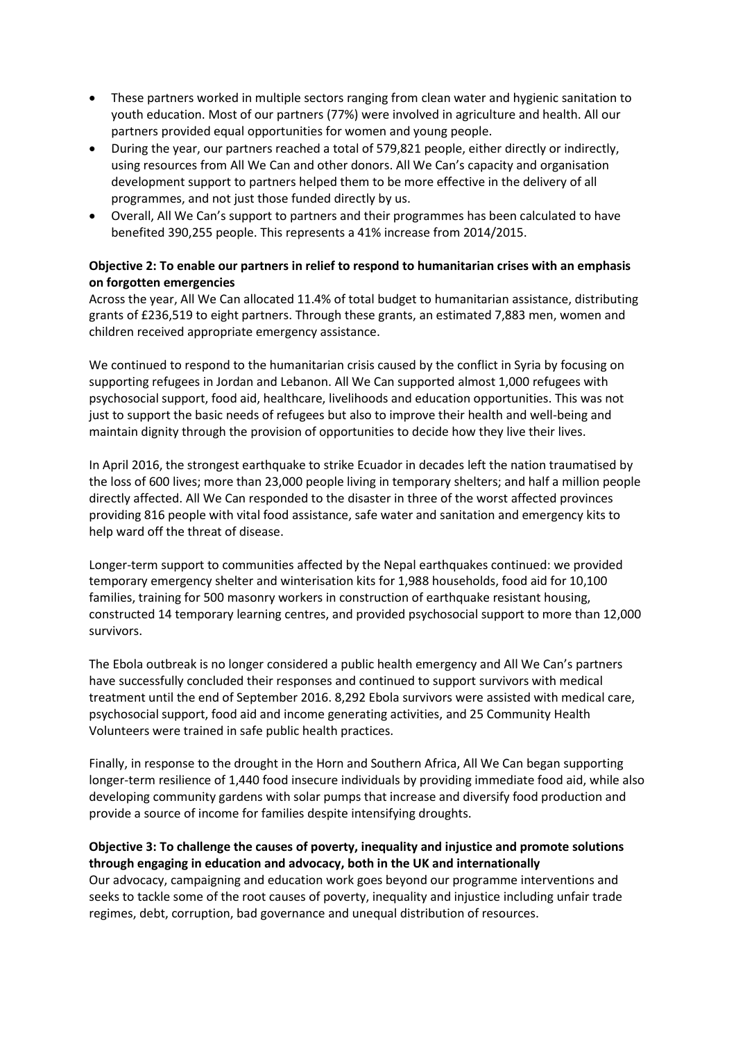- These partners worked in multiple sectors ranging from clean water and hygienic sanitation to youth education. Most of our partners (77%) were involved in agriculture and health. All our partners provided equal opportunities for women and young people.
- During the year, our partners reached a total of 579,821 people, either directly or indirectly, using resources from All We Can and other donors. All We Can's capacity and organisation development support to partners helped them to be more effective in the delivery of all programmes, and not just those funded directly by us.
- Overall, All We Can's support to partners and their programmes has been calculated to have benefited 390,255 people. This represents a 41% increase from 2014/2015.

### **Objective 2: To enable our partners in relief to respond to humanitarian crises with an emphasis on forgotten emergencies**

Across the year, All We Can allocated 11.4% of total budget to humanitarian assistance, distributing grants of £236,519 to eight partners. Through these grants, an estimated 7,883 men, women and children received appropriate emergency assistance.

We continued to respond to the humanitarian crisis caused by the conflict in Syria by focusing on supporting refugees in Jordan and Lebanon. All We Can supported almost 1,000 refugees with psychosocial support, food aid, healthcare, livelihoods and education opportunities. This was not just to support the basic needs of refugees but also to improve their health and well-being and maintain dignity through the provision of opportunities to decide how they live their lives.

In April 2016, the strongest earthquake to strike Ecuador in decades left the nation traumatised by the loss of 600 lives; more than 23,000 people living in temporary shelters; and half a million people directly affected. All We Can responded to the disaster in three of the worst affected provinces providing 816 people with vital food assistance, safe water and sanitation and emergency kits to help ward off the threat of disease.

Longer-term support to communities affected by the Nepal earthquakes continued: we provided temporary emergency shelter and winterisation kits for 1,988 households, food aid for 10,100 families, training for 500 masonry workers in construction of earthquake resistant housing, constructed 14 temporary learning centres, and provided psychosocial support to more than 12,000 survivors.

The Ebola outbreak is no longer considered a public health emergency and All We Can's partners have successfully concluded their responses and continued to support survivors with medical treatment until the end of September 2016. 8,292 Ebola survivors were assisted with medical care, psychosocial support, food aid and income generating activities, and 25 Community Health Volunteers were trained in safe public health practices.

Finally, in response to the drought in the Horn and Southern Africa, All We Can began supporting longer-term resilience of 1,440 food insecure individuals by providing immediate food aid, while also developing community gardens with solar pumps that increase and diversify food production and provide a source of income for families despite intensifying droughts.

#### **Objective 3: To challenge the causes of poverty, inequality and injustice and promote solutions through engaging in education and advocacy, both in the UK and internationally**

Our advocacy, campaigning and education work goes beyond our programme interventions and seeks to tackle some of the root causes of poverty, inequality and injustice including unfair trade regimes, debt, corruption, bad governance and unequal distribution of resources.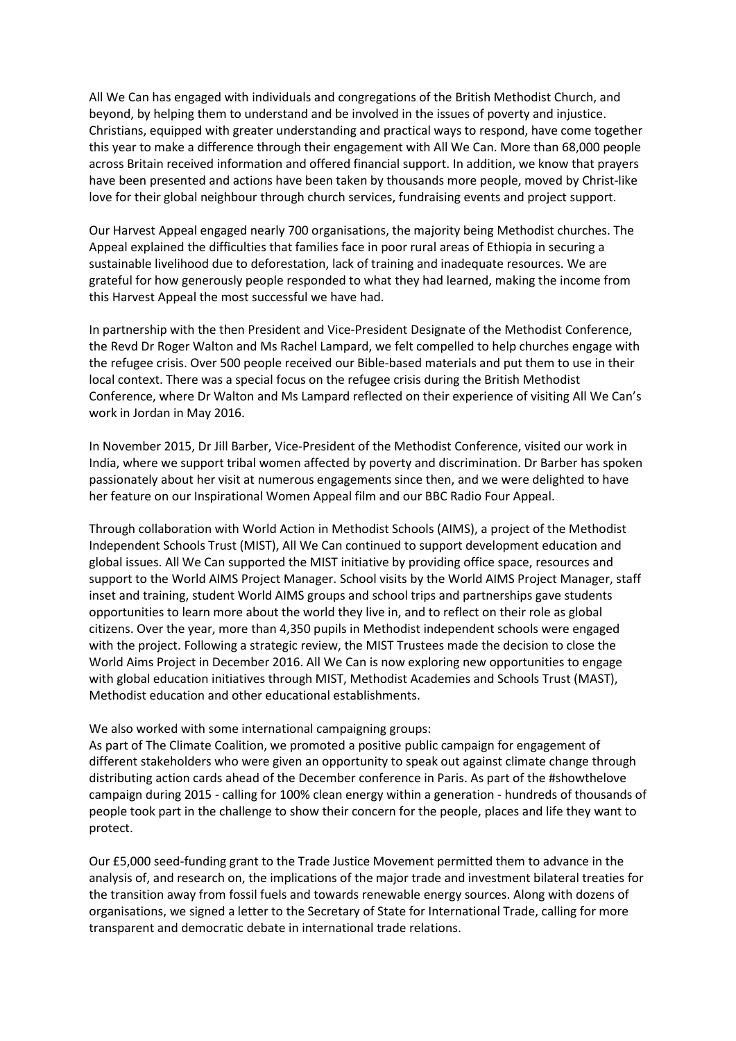All We Can has engaged with individuals and congregations of the British Methodist Church, and beyond, by helping them to understand and be involved in the issues of poverty and injustice. Christians, equipped with greater understanding and practical ways to respond, have come together this year to make a difference through their engagement with All We Can. More than 68,000 people across Britain received information and offered financial support. In addition, we know that prayers have been presented and actions have been taken by thousands more people, moved by Christ-like love for their global neighbour through church services, fundraising events and project support.

Our Harvest Appeal engaged nearly 700 organisations, the majority being Methodist churches. The Appeal explained the difficulties that families face in poor rural areas of Ethiopia in securing a sustainable livelihood due to deforestation, lack of training and inadequate resources. We are grateful for how generously people responded to what they had learned, making the income from this Harvest Appeal the most successful we have had.

In partnership with the then President and Vice-President Designate of the Methodist Conference, the Revd Dr Roger Walton and Ms Rachel Lampard, we felt compelled to help churches engage with the refugee crisis. Over 500 people received our Bible-based materials and put them to use in their local context. There was a special focus on the refugee crisis during the British Methodist Conference, where Dr Walton and Ms Lampard reflected on their experience of visiting All We Can's work in Jordan in May 2016.

In November 2015, Dr Jill Barber, Vice-President of the Methodist Conference, visited our work in India, where we support tribal women affected by poverty and discrimination. Dr Barber has spoken passionately about her visit at numerous engagements since then, and we were delighted to have her feature on our Inspirational Women Appeal film and our BBC Radio Four Appeal.

Through collaboration with World Action in Methodist Schools (AIMS), a project of the Methodist Independent Schools Trust (MIST), All We Can continued to support development education and global issues. All We Can supported the MIST initiative by providing office space, resources and support to the World AIMS Project Manager. School visits by the World AIMS Project Manager, staff inset and training, student World AIMS groups and school trips and partnerships gave students opportunities to learn more about the world they live in, and to reflect on their role as global citizens. Over the year, more than 4,350 pupils in Methodist independent schools were engaged with the project. Following a strategic review, the MIST Trustees made the decision to close the World Aims Project in December 2016. All We Can is now exploring new opportunities to engage with global education initiatives through MIST, Methodist Academies and Schools Trust (MAST), Methodist education and other educational establishments.

#### We also worked with some international campaigning groups:

As part of The Climate Coalition, we promoted a positive public campaign for engagement of different stakeholders who were given an opportunity to speak out against climate change through distributing action cards ahead of the December conference in Paris. As part of the #showthelove campaign during 2015 - calling for 100% clean energy within a generation - hundreds of thousands of people took part in the challenge to show their concern for the people, places and life they want to protect.

Our £5,000 seed-funding grant to the Trade Justice Movement permitted them to advance in the analysis of, and research on, the implications of the major trade and investment bilateral treaties for the transition away from fossil fuels and towards renewable energy sources. Along with dozens of organisations, we signed a letter to the Secretary of State for International Trade, calling for more transparent and democratic debate in international trade relations.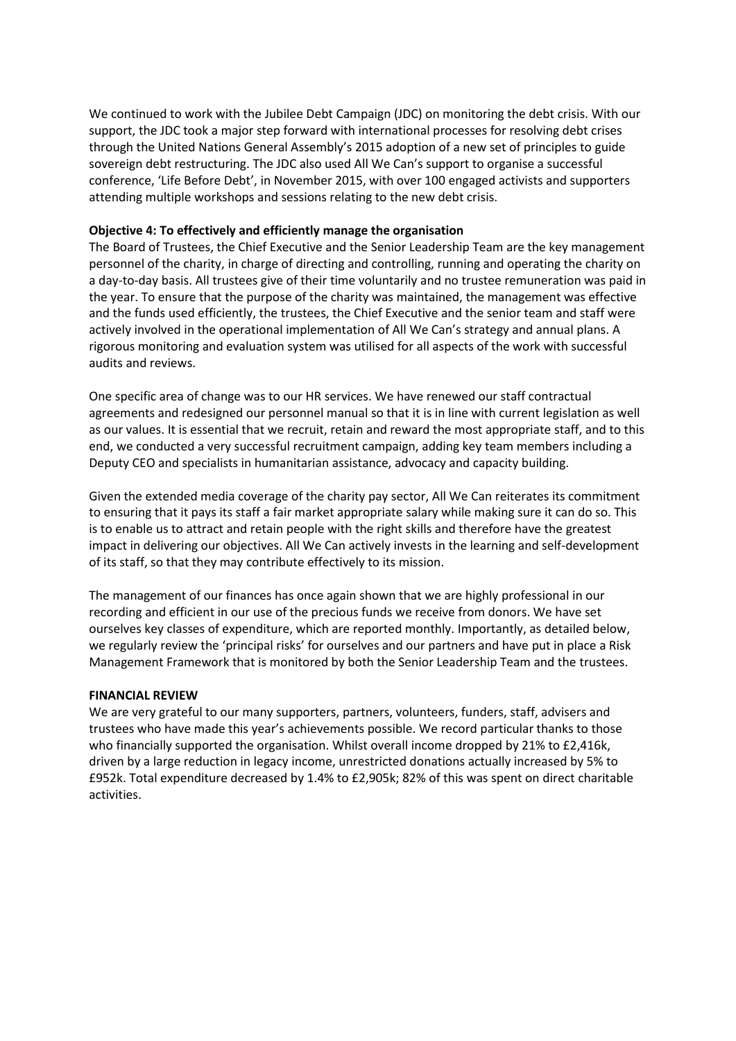We continued to work with the Jubilee Debt Campaign (JDC) on monitoring the debt crisis. With our support, the JDC took a major step forward with international processes for resolving debt crises through the United Nations General Assembly's 2015 adoption of a new set of principles to guide sovereign debt restructuring. The JDC also used All We Can's support to organise a successful conference, 'Life Before Debt', in November 2015, with over 100 engaged activists and supporters attending multiple workshops and sessions relating to the new debt crisis.

#### **Objective 4: To effectively and efficiently manage the organisation**

The Board of Trustees, the Chief Executive and the Senior Leadership Team are the key management personnel of the charity, in charge of directing and controlling, running and operating the charity on a day-to-day basis. All trustees give of their time voluntarily and no trustee remuneration was paid in the year. To ensure that the purpose of the charity was maintained, the management was effective and the funds used efficiently, the trustees, the Chief Executive and the senior team and staff were actively involved in the operational implementation of All We Can's strategy and annual plans. A rigorous monitoring and evaluation system was utilised for all aspects of the work with successful audits and reviews.

One specific area of change was to our HR services. We have renewed our staff contractual agreements and redesigned our personnel manual so that it is in line with current legislation as well as our values. It is essential that we recruit, retain and reward the most appropriate staff, and to this end, we conducted a very successful recruitment campaign, adding key team members including a Deputy CEO and specialists in humanitarian assistance, advocacy and capacity building.

Given the extended media coverage of the charity pay sector, All We Can reiterates its commitment to ensuring that it pays its staff a fair market appropriate salary while making sure it can do so. This is to enable us to attract and retain people with the right skills and therefore have the greatest impact in delivering our objectives. All We Can actively invests in the learning and self-development of its staff, so that they may contribute effectively to its mission.

The management of our finances has once again shown that we are highly professional in our recording and efficient in our use of the precious funds we receive from donors. We have set ourselves key classes of expenditure, which are reported monthly. Importantly, as detailed below, we regularly review the 'principal risks' for ourselves and our partners and have put in place a Risk Management Framework that is monitored by both the Senior Leadership Team and the trustees.

#### **FINANCIAL REVIEW**

We are very grateful to our many supporters, partners, volunteers, funders, staff, advisers and trustees who have made this year's achievements possible. We record particular thanks to those who financially supported the organisation. Whilst overall income dropped by 21% to £2,416k, driven by a large reduction in legacy income, unrestricted donations actually increased by 5% to £952k. Total expenditure decreased by 1.4% to £2,905k; 82% of this was spent on direct charitable activities.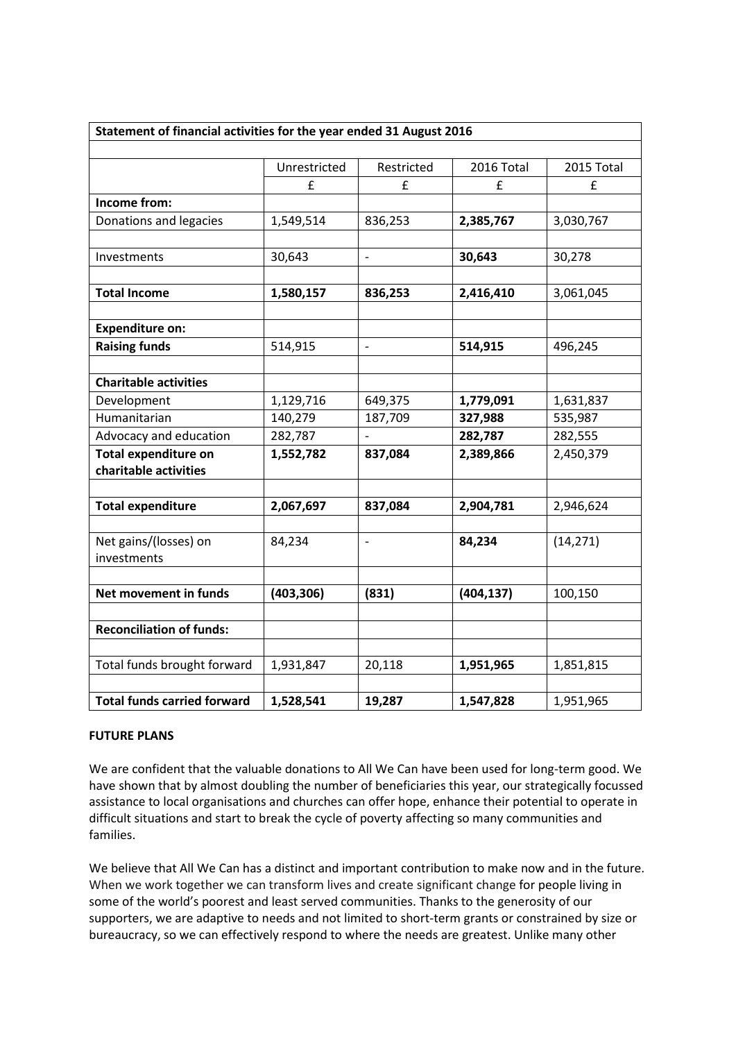| Statement of financial activities for the year ended 31 August 2016 |              |                          |            |            |  |  |
|---------------------------------------------------------------------|--------------|--------------------------|------------|------------|--|--|
|                                                                     |              |                          |            |            |  |  |
|                                                                     | Unrestricted | Restricted               | 2016 Total | 2015 Total |  |  |
|                                                                     | £            | £                        | £          | £          |  |  |
| Income from:                                                        |              |                          |            |            |  |  |
| Donations and legacies                                              | 1,549,514    | 836,253                  | 2,385,767  | 3,030,767  |  |  |
|                                                                     |              |                          |            |            |  |  |
| Investments                                                         | 30,643       | $\overline{\phantom{a}}$ | 30,643     | 30,278     |  |  |
|                                                                     |              |                          |            |            |  |  |
| <b>Total Income</b>                                                 | 1,580,157    | 836,253                  | 2,416,410  | 3,061,045  |  |  |
|                                                                     |              |                          |            |            |  |  |
| <b>Expenditure on:</b>                                              |              |                          |            |            |  |  |
| <b>Raising funds</b>                                                | 514,915      | $\overline{\phantom{a}}$ | 514,915    | 496,245    |  |  |
|                                                                     |              |                          |            |            |  |  |
| <b>Charitable activities</b>                                        |              |                          |            |            |  |  |
| Development                                                         | 1,129,716    | 649,375                  | 1,779,091  | 1,631,837  |  |  |
| Humanitarian                                                        | 140,279      | 187,709                  | 327,988    | 535,987    |  |  |
| Advocacy and education                                              | 282,787      |                          | 282,787    | 282,555    |  |  |
| <b>Total expenditure on</b>                                         | 1,552,782    | 837,084                  | 2,389,866  | 2,450,379  |  |  |
| charitable activities                                               |              |                          |            |            |  |  |
|                                                                     |              |                          |            |            |  |  |
| <b>Total expenditure</b>                                            | 2,067,697    | 837,084                  | 2,904,781  | 2,946,624  |  |  |
|                                                                     |              |                          |            |            |  |  |
| Net gains/(losses) on                                               | 84,234       | $\overline{\phantom{a}}$ | 84,234     | (14, 271)  |  |  |
| investments                                                         |              |                          |            |            |  |  |
|                                                                     |              |                          |            |            |  |  |
| Net movement in funds                                               | (403, 306)   | (831)                    | (404, 137) | 100,150    |  |  |
|                                                                     |              |                          |            |            |  |  |
| <b>Reconciliation of funds:</b>                                     |              |                          |            |            |  |  |
|                                                                     |              |                          |            |            |  |  |
| Total funds brought forward                                         | 1,931,847    | 20,118                   | 1,951,965  | 1,851,815  |  |  |
|                                                                     |              |                          |            |            |  |  |
| <b>Total funds carried forward</b>                                  | 1,528,541    | 19,287                   | 1,547,828  | 1,951,965  |  |  |

#### **FUTURE PLANS**

We are confident that the valuable donations to All We Can have been used for long-term good. We have shown that by almost doubling the number of beneficiaries this year, our strategically focussed assistance to local organisations and churches can offer hope, enhance their potential to operate in difficult situations and start to break the cycle of poverty affecting so many communities and families.

We believe that All We Can has a distinct and important contribution to make now and in the future. When we work together we can transform lives and create significant change for people living in some of the world's poorest and least served communities. Thanks to the generosity of our supporters, we are adaptive to needs and not limited to short-term grants or constrained by size or bureaucracy, so we can effectively respond to where the needs are greatest. Unlike many other